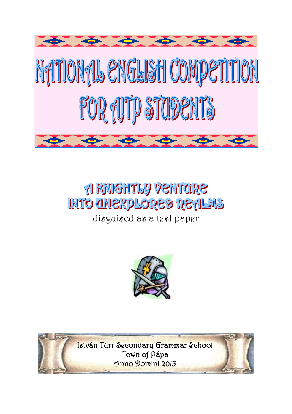

# **A RAIGHTLY VENTORE INTO CHIEXPLORED RETILMS**

disguised as a test paper



István Türr Secondary Grammar School Town of Pápa Anno Domini 2013

 $\overline{\phantom{a}}$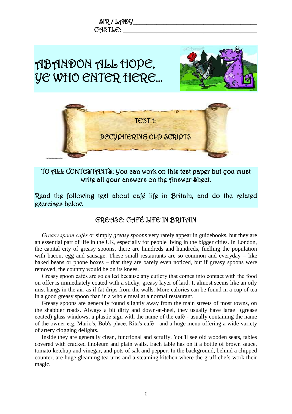

TO ALL CONTESTANTS: You can work on this test paper but you must write all your answers on the Answer Sheet.

Read the following text about café life in Britain, and do the related exercises below.

#### GREASE: CAFÉ LIFE IN BRITAIN

*Greasy spoon cafés* or simply *greasy spoons* very rarely appear in guidebooks, but they are an essential part of life in the UK, especially for people living in the bigger cities. In London, the capital city of greasy spoons, there are hundreds and hundreds, fuelling the population with bacon, egg and sausage. These small restaurants are so common and everyday – like baked beans or phone boxes – that they are barely even noticed, but if greasy spoons were removed, the country would be on its knees.

Greasy spoon cafés are so called because any cutlery that comes into contact with the food on offer is immediately coated with a sticky, greasy layer of lard. It almost seems like an oily mist hangs in the air, as if fat drips from the walls. More calories can be found in a cup of tea in a good greasy spoon than in a whole meal at a normal restaurant.

Greasy spoons are generally found slightly away from the main streets of most towns, on the shabbier roads. Always a bit dirty and down-at-heel, they usually have large (grease coated) glass windows, a plastic sign with the name of the café - usually containing the name of the owner e.g. Mario's, Bob's place, Rita's café - and a huge menu offering a wide variety of artery clogging delights.

Inside they are generally clean, functional and scruffy. You'll see old wooden seats, tables covered with cracked linoleum and plain walls. Each table has on it a bottle of brown sauce, tomato ketchup and vinegar, and pots of salt and pepper. In the background, behind a chipped counter, are huge gleaming tea urns and a steaming kitchen where the gruff chefs work their magic.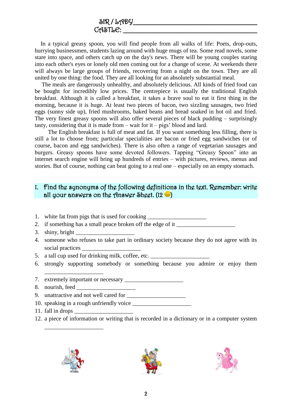In a typical greasy spoon, you will find people from all walks of life: Poets, drop-outs, hurrying businessmen, students lazing around with huge mugs of tea. Some read novels, some stare into space, and others catch up on the day's news. There will be young couples staring into each other's eyes or lonely old men coming out for a change of scene. At weekends there will always be large groups of friends, recovering from a night on the town. They are all united by one thing: the food. They are all looking for an absolutely substantial meal.

The meals are dangerously unhealthy, and absolutely delicious. All kinds of fried food can be bought for incredibly low prices. The centrepiece is usually the traditional English breakfast. Although it is called a breakfast, it takes a brave soul to eat it first thing in the morning, because it is huge. At least two pieces of bacon, two sizzling sausages, two fried eggs (sunny side up), fried mushrooms, baked beans and bread soaked in hot oil and fried. The very finest greasy spoons will also offer several pieces of black pudding – surprisingly tasty, considering that it is made from – wait for it – pigs' blood and lard.

The English breakfast is full of meat and fat. If you want something less filling, there is still a lot to choose from; particular specialities are bacon or fried egg sandwiches (or of course, bacon and egg sandwiches). There is also often a range of vegetarian sausages and burgers. Greasy spoons have some devoted followers. Tapping "Greasy Spoon" into an internet search engine will bring up hundreds of entries – with pictures, reviews, menus and stories. But of course, nothing can beat going to a real one – especially on an empty stomach.

#### 1. Find the synonyms of the following definitions in the text. Remember: write all your answers on the Answer Sheet.  $(12 - )$

- 1. white fat from pigs that is used for cooking
- 2. if something has a small peace broken off the edge of it \_\_\_\_\_\_\_\_\_\_\_\_\_\_\_\_\_\_\_\_\_
- 3. shiny, bright  $\Box$
- 4. someone who refuses to take part in ordinary society because they do not agree with its social practices
- 5. a tall cup used for drinking milk, coffee, etc. \_\_\_\_\_\_\_\_\_\_\_\_\_\_\_\_\_\_\_\_\_\_\_\_\_\_\_\_\_
- 6. strongly supporting somebody or something because you admire or enjoy them
- 7. extremely important or necessary
- 8. nourish, feed
- 9. unattractive and not well cared for \_\_\_\_\_\_\_\_\_\_\_\_\_\_\_\_\_\_\_\_
- 10. speaking in a rough unfriendly voice
- 11. fall in drops \_\_\_\_\_\_\_\_\_\_\_\_\_\_\_\_\_\_\_\_
- 12. a piece of information or writing that is recorded in a dictionary or in a computer system



\_\_\_\_\_\_\_\_\_\_\_\_\_\_\_\_\_\_\_\_

\_\_\_\_\_\_\_\_\_\_\_\_\_\_\_\_\_\_\_\_



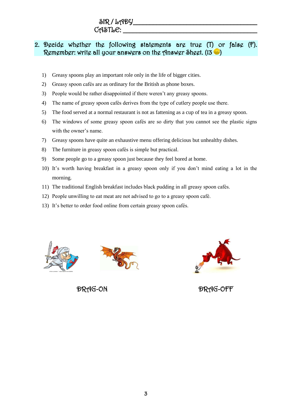# $\delta$ IR / LADY

#### $C$ ASTL $C$ :  $\blacksquare$

#### 2. Decide whether the following statements are true (T) or false (F). Remember: write all your answers on the Answer Sheet. (13

- 1) Greasy spoons play an important role only in the life of bigger cities.
- 2) Greasy spoon cafés are as ordinary for the British as phone boxes.
- 3) People would be rather disappointed if there weren't any greasy spoons.
- 4) The name of greasy spoon cafés derives from the type of cutlery people use there.
- 5) The food served at a normal restaurant is not as fattening as a cup of tea in a greasy spoon.
- 6) The windows of some greasy spoon cafés are so dirty that you cannot see the plastic signs with the owner's name.
- 7) Greasy spoons have quite an exhaustive menu offering delicious but unhealthy dishes.
- 8) The furniture in greasy spoon cafés is simple but practical.
- 9) Some people go to a greasy spoon just because they feel bored at home.
- 10) It's worth having breakfast in a greasy spoon only if you don't mind eating a lot in the morning.
- 11) The traditional English breakfast includes black pudding in all greasy spoon cafés.
- 12) People unwilling to eat meat are not advised to go to a greasy spoon café.
- 13) It's better to order food online from certain greasy spoon cafés.





DRAG-ON DRAG-OFF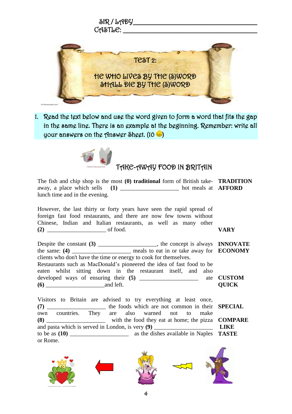

1. Read the text below and use the word given to form a word that fits the gap in the same line. There is an example at the beginning. Remember: write all your answers on the Answer Sheet.  $(10 - )$ 



## TAKE-AWAY FOOD IN BRITAIN

The fish and chip shop is the most **(0) traditional** form of British take-**TRADITION** away, a place which sells **(1)** \_\_\_\_\_\_\_\_\_\_\_\_\_\_\_\_\_\_\_\_ hot meals at **AFFORD** lunch time and in the evening.

However, the last thirty or forty years have seen the rapid spread of foreign fast food restaurants, and there are now few towns without Chinese, Indian and Italian restaurants, as well as many other **(2)** \_\_\_\_\_\_\_\_\_\_\_\_\_\_\_\_\_\_\_\_ of food. **VARY**

Despite the constant **(3)** \_\_\_\_\_\_\_\_\_\_\_\_\_\_\_\_\_\_\_\_, the concept is always the same: **(4)** \_\_\_\_\_\_\_\_\_\_\_\_\_\_\_\_\_\_\_\_ meals to eat in or take away for clients who don't have the time or energy to cook for themselves. Restaurants such as MacDonald's pioneered the idea of fast food to be eaten whilst sitting down in the restaurant itself, and also developed ways of ensuring their **(5)** \_\_\_\_\_\_\_\_\_\_\_\_\_\_\_\_\_\_\_\_ ate **CUSTOM (6)** \_\_\_\_\_\_\_\_\_\_\_\_\_\_\_\_\_\_\_\_and left. **INNOVATE ECONOMY QUICK**

Visitors to Britain are advised to try everything at least once, **(7)** \_\_\_\_\_\_\_\_\_\_\_\_\_\_\_\_\_\_\_\_ the foods which are not common in their own countries. They are also warned not to make **(8)** \_\_\_\_\_\_\_\_\_\_\_\_\_\_\_\_\_\_\_\_ with the food they eat at home; the pizza **COMPARE** and pasta which is served in London, is very (9) to be as **(10)** \_\_\_\_\_\_\_\_\_\_\_\_\_\_\_\_\_\_\_\_ as the dishes available in Naples **TASTE** or Rome. **SPECIAL LIKE**

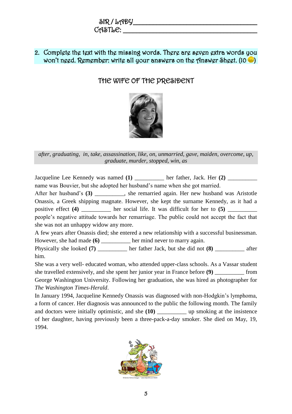| SIR/LADY |  |
|----------|--|
| CASTLE:  |  |

#### 2. Complete the text with the missing words. There are seven extra words you won't need. Remember: write all your answers on the Answer Sheet. (10  $\bullet$  )

### THE WIFE OF THE PRESIDENT



*after, graduating, in, take, assassination, like, on, unmarried, gave, maiden, overcome, up, graduate, murder, stopped, win, as*

Jacqueline Lee Kennedy was named **(1)** \_\_\_\_\_\_\_\_\_\_ her father, Jack. Her **(2)** \_\_\_\_\_\_\_\_\_\_ name was Bouvier, but she adopted her husband's name when she got married.

After her husband's **(3)** \_\_\_\_\_\_\_\_\_\_, she remarried again. Her new husband was Aristotle Onassis, a Greek shipping magnate. However, she kept the surname Kennedy, as it had a positive effect **(4)** her social life. It was difficult for her to **(5)** 

people's negative attitude towards her remarriage. The public could not accept the fact that she was not an unhappy widow any more.

A few years after Onassis died; she entered a new relationship with a successful businessman. However, she had made **(6)** her mind never to marry again.

Physically she looked **(7)** \_\_\_\_\_\_\_\_\_\_ her father Jack, but she did not **(8)** \_\_\_\_\_\_ after him.

She was a very well- educated woman, who attended upper-class schools. As a Vassar student she travelled extensively, and she spent her junior year in France before (9) from George Washington University. Following her graduation, she was hired as photographer for *The Washington Times-Herald*.

In January 1994, Jacqueline Kennedy Onassis was diagnosed with non-Hodgkin's lymphoma, a form of cancer. Her diagnosis was announced to the public the following month. The family and doctors were initially optimistic, and she (10) \_\_\_\_\_\_\_\_\_\_ up smoking at the insistence of her daughter, having previously been a three-pack-a-day smoker. She died on May, 19, 1994.

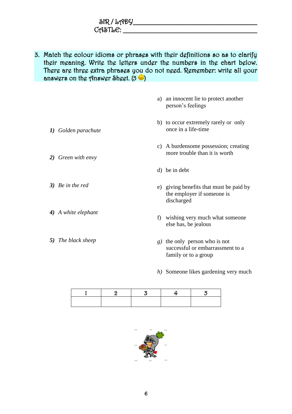| SIR / LADY     |  |
|----------------|--|
| $C$ ASTL $C$ : |  |

3. Match the colour idioms or phrases with their definitions so as to clarify their meaning. Write the letters under the numbers in the chart below. There are three extra phrases you do not need. Remember: write all your answers on the Answer Sheet.  $(5 \bullet)$ 

| a) an innocent lie to protect another<br>person's feelings  |
|-------------------------------------------------------------|
| b) to occur extremely rarely or only<br>once in a life-time |

*2) Green with envy*

*1) Golden parachute*

- *3) Be in the red*
- *4) A white elephant*
- *5) The black sheep*
- c) A burdensome possession; creating more trouble than it is worth
- d) be in debt
- e) giving benefits that must be paid by the employer if someone is discharged
- f) wishing very much what someone else has, be jealous
- *g)* the only person who is not successful or embarrassment to a family or to a group
- *h)* Someone likes gardening very much

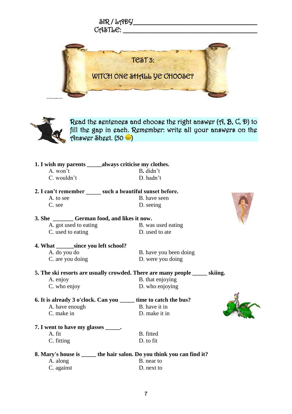



Read the sentences and choose the right answer (A, B, C, D) to fill the gap in each. Remember: write all your answers on the Answer Sheet.  $(50 - )$ 

|                                        | 1. I wish my parents ______ always criticise my clothes.                           |
|----------------------------------------|------------------------------------------------------------------------------------|
| A. won't                               | B. didn't                                                                          |
| C. wouldn't                            | D. hadn't                                                                          |
|                                        | 2. I can't remember _____ such a beautiful sunset before.                          |
| A. to see                              | B. have seen                                                                       |
| C. see                                 | D. seeing                                                                          |
|                                        |                                                                                    |
|                                        | 3. She __________ German food, and likes it now.                                   |
| A. got used to eating                  | B. was used eating                                                                 |
| C. used to eating                      | D. used to ate                                                                     |
| 4. What _______ since you left school? |                                                                                    |
| A. do you do                           | B. have you been doing                                                             |
| C. are you doing                       | D. were you doing                                                                  |
|                                        | 5. The ski resorts are usually crowded. There are many people ______ skiing.       |
| A. enjoy                               | B. that enjoying                                                                   |
| C. who enjoy                           | D. who enjoying                                                                    |
|                                        |                                                                                    |
| A. have enough                         | 6. It is already 3 o'clock. Can you ______ time to catch the bus?<br>B. have it in |
| C. make in                             |                                                                                    |
|                                        | D. make it in                                                                      |
| 7. I went to have my glasses ______.   |                                                                                    |
| A. fit                                 | B. fitted                                                                          |
| C. fitting                             | D. to fit                                                                          |
|                                        | 8. Mary's house is ______ the hair salon. Do you think you can find it?            |
| A. along                               | B. near to                                                                         |
| C. against                             | D. next to                                                                         |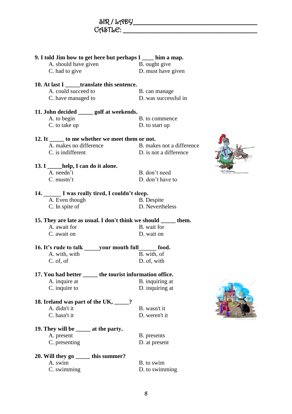| 9. I told Jim how to get here but perhaps I ____ him a map.      |                           |  |
|------------------------------------------------------------------|---------------------------|--|
| A. should have given                                             | B. ought give             |  |
| C. had to give                                                   | D. must have given        |  |
| 10. At last I ______ translate this sentence.                    |                           |  |
| A. could succeed to                                              | B. can manage             |  |
| C. have managed to                                               | D. was successful in      |  |
|                                                                  |                           |  |
| 11. John decided ______ golf at weekends.                        |                           |  |
| A. to begin                                                      | B. to commence            |  |
| C. to take up                                                    | D. to start up            |  |
| 12. It ______ to me whether we meet them or not.                 |                           |  |
| A. makes no difference                                           | B. makes not a difference |  |
| C. is indifferent                                                | D. is not a difference    |  |
|                                                                  |                           |  |
| 13. I help, I can do it alone.                                   |                           |  |
| A. needn't                                                       | B. don't need             |  |
| $C.$ mustn't                                                     | D. don't have to          |  |
| 14. I was really tired, I couldn't sleep.                        |                           |  |
| A. Even though                                                   | <b>B.</b> Despite         |  |
| C. In spite of                                                   | D. Nevertheless           |  |
| 15. They are late as usual. I don't think we should ______ them. |                           |  |
| A. await for                                                     | B. wait for               |  |
| C. await on                                                      | D. wait on                |  |
|                                                                  |                           |  |
| 16. It's rude to talk your mouth full food.                      |                           |  |
| A. with, with                                                    | B. with, of               |  |
| C. of, of                                                        | D. of, with               |  |
| 17. You had better ______ the tourist information office.        |                           |  |
| A. inquire at                                                    | B. inquiring at           |  |
| C. inquire to                                                    | D. inquiring at           |  |
|                                                                  |                           |  |
| 18. Ireland was part of the UK, 18. 2014.<br>A. didn't it        | B. wasn't it              |  |
| C. hasn't it                                                     | D. weren't it             |  |
|                                                                  |                           |  |
| 19. They will be _______ at the party.                           |                           |  |
| A. present                                                       | B. presents               |  |
| C. presenting                                                    | D. at present             |  |
| 20. Will they go ______ this summer?                             |                           |  |
| A. swim                                                          | B. to swim                |  |
| C. swimming                                                      | D. to swimming            |  |
|                                                                  |                           |  |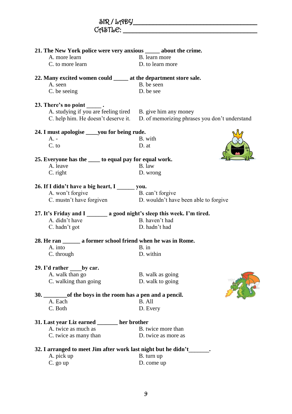| CASTLE:                                                                  |                                                                |
|--------------------------------------------------------------------------|----------------------------------------------------------------|
|                                                                          |                                                                |
| 21. The New York police were very anxious ______ about the crime.        |                                                                |
| A. more learn                                                            | B. learn more                                                  |
| C. to more learn                                                         | D. to learn more                                               |
| 22. Many excited women could ______ at the department store sale.        |                                                                |
| A. seen                                                                  | B. be seen                                                     |
| C. be seeing                                                             | D. be see                                                      |
| 23. There's no point $\_\_\_\$ .                                         |                                                                |
| A. studying if you are feeling tired B. give him any money               |                                                                |
| C. help him. He doesn't deserve it.                                      | D. of memorizing phrases you don't understand                  |
| 24. I must apologise _____ you for being rude.                           |                                                                |
| A. -                                                                     | B. with                                                        |
| C. to                                                                    | D. at                                                          |
| 25. Everyone has the _____ to equal pay for equal work.                  |                                                                |
| A. leave                                                                 | B. law                                                         |
| C. right                                                                 | D. wrong                                                       |
| 26. If I didn't have a big heart, I _______ you.                         |                                                                |
| A. won't forgive                                                         | B. can't forgive                                               |
|                                                                          | C. mustn't have forgiven D. wouldn't have been able to forgive |
| 27. It's Friday and I _______ a good night's sleep this week. I'm tired. |                                                                |
| A. didn't have                                                           | B. haven't had                                                 |
| C. hadn't got                                                            | D. hadn't had                                                  |
| 28. He ran ________ a former school friend when he was in Rome.          |                                                                |
| A. into B. in                                                            |                                                                |
| C. through                                                               | D. within                                                      |
| 29. I'd rather by car.                                                   |                                                                |
| A. walk than go                                                          | B. walk as going                                               |
| C. walking than going                                                    | D. walk to going                                               |
|                                                                          |                                                                |
| A. Each                                                                  | B. All                                                         |
| C. Both                                                                  | D. Every                                                       |
| 31. Last year Liz earned ______ her brother                              |                                                                |
| A. twice as much as                                                      | B. twice more than                                             |
| C. twice as many than                                                    | D. twice as more as                                            |
| 32. I arranged to meet Jim after work last night but he didn't           |                                                                |
| A. pick up                                                               | B. turn up                                                     |
| C. go up                                                                 | D. come up                                                     |

SIR / LADY\_\_\_\_\_\_\_\_\_\_\_\_\_\_\_\_\_\_\_\_\_\_\_\_\_\_\_\_\_\_\_\_\_\_\_\_\_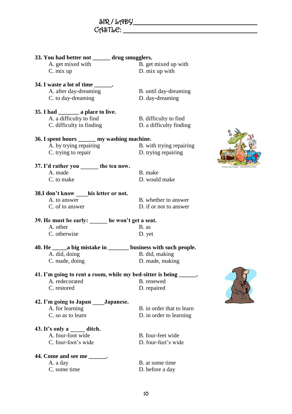| $\delta$ R/LADY |  |  |
|-----------------|--|--|
| CASTLE:         |  |  |

| 33. You had better not _____ drug smugglers.                 |                                                                        |  |
|--------------------------------------------------------------|------------------------------------------------------------------------|--|
| A. get mixed with                                            | B. get mixed up with                                                   |  |
| C. mix up                                                    | D. mix up with                                                         |  |
|                                                              |                                                                        |  |
| 34. I waste a lot of time _______.                           |                                                                        |  |
| A. after day-dreaming                                        | B. until day-dreaming                                                  |  |
| C. to day-dreaming                                           | D. day-dreaming                                                        |  |
|                                                              |                                                                        |  |
| 35. I had __________ a place to live.                        |                                                                        |  |
| A. a difficulty to find                                      | B. difficulty to find                                                  |  |
| C. difficulty in finding                                     | D. a difficulty finding                                                |  |
|                                                              |                                                                        |  |
| 36. I spent hours _______ my washing machine.                |                                                                        |  |
| A. by trying repairing                                       | B. with trying repairing                                               |  |
| C. trying to repair                                          | D. trying repairing                                                    |  |
|                                                              |                                                                        |  |
| 37. I'd rather you the tea now.                              |                                                                        |  |
| A. made                                                      | B. make                                                                |  |
| C. to make                                                   | D. would make                                                          |  |
| 38.I don't know his letter or not.                           |                                                                        |  |
| A. to answer                                                 | B. whether to answer                                                   |  |
| C. of to answer                                              | D. if or not to answer                                                 |  |
|                                                              |                                                                        |  |
| 39. He must be early: he won't get a seat.                   |                                                                        |  |
| A. other                                                     | B. as                                                                  |  |
| C. otherwise                                                 | D. yet                                                                 |  |
|                                                              |                                                                        |  |
|                                                              | 40. He _______ a big mistake in ___________ business with such people. |  |
| A. did, doing                                                | B. did, making                                                         |  |
| C. made, doing                                               | D. made, making                                                        |  |
|                                                              |                                                                        |  |
| 41. I'm going to rent a room, while my bed-sitter is being _ |                                                                        |  |
| A. redecorated                                               | B. renewed                                                             |  |
| C. restored                                                  | D. repaired                                                            |  |
|                                                              |                                                                        |  |
| 42. I'm going to Japan Japanese.<br>A. for learning          | B. in order that to learn                                              |  |
| C. so as to learn                                            | D. in order to learning                                                |  |
|                                                              |                                                                        |  |
| 43. It's only a ditch.                                       |                                                                        |  |
| A. four-foot wide                                            | B. four-feet wide                                                      |  |
| C. four-foot's wide                                          | D. four-feet's wide                                                    |  |
|                                                              |                                                                        |  |
| 44. Come and see me _______.                                 |                                                                        |  |
| A. a day                                                     | B. at some time                                                        |  |
| C. some time                                                 | D. before a day                                                        |  |
|                                                              |                                                                        |  |